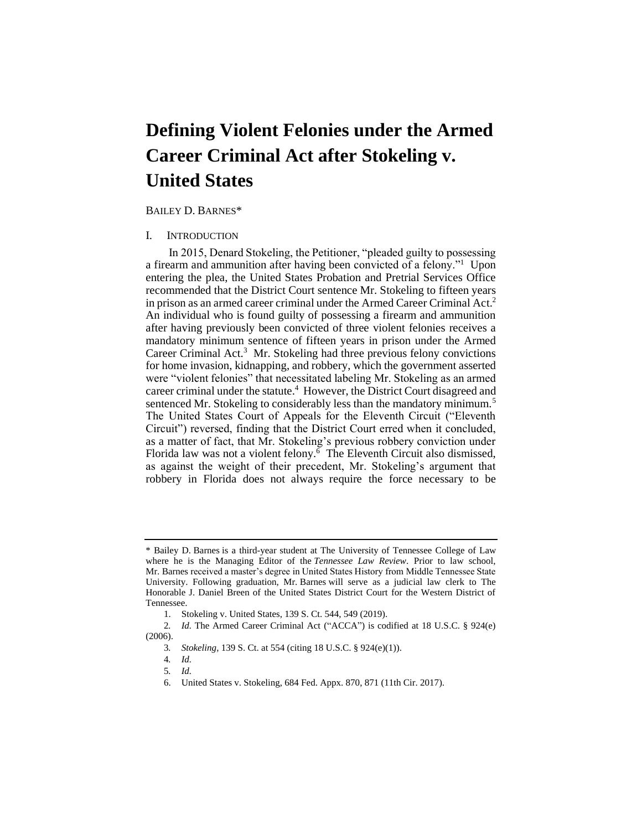# **Defining Violent Felonies under the Armed Career Criminal Act after Stokeling v. United States**

### BAILEY D. BARNES\*

# I. INTRODUCTION

 a firearm and ammunition after having been convicted of a felony."1 Upon entering the plea, the United States Probation and Pretrial Services Office in prison as an armed career criminal under the Armed Career Criminal Act.<sup>2</sup> An individual who is found guilty of possessing a firearm and ammunition after having previously been convicted of three violent felonies receives a mandatory minimum sentence of fifteen years in prison under the Armed Career Criminal Act.<sup>3</sup> Mr. Stokeling had three previous felony convictions for home invasion, kidnapping, and robbery, which the government asserted career criminal under the statute.<sup>4</sup> However, the District Court disagreed and sentenced Mr. Stokeling to considerably less than the mandatory minimum.<sup>5</sup> The United States Court of Appeals for the Eleventh Circuit ("Eleventh Circuit") reversed, finding that the District Court erred when it concluded, as a matter of fact, that Mr. Stokeling's previous robbery conviction under Florida law was not a violent felony. $6$  The Eleventh Circuit also dismissed, as against the weight of their precedent, Mr. Stokeling's argument that robbery in Florida does not always require the force necessary to be In 2015, Denard Stokeling, the Petitioner, "pleaded guilty to possessing recommended that the District Court sentence Mr. Stokeling to fifteen years were "violent felonies" that necessitated labeling Mr. Stokeling as an armed

 Mr. Barnes received a master's degree in United States History from Middle Tennessee State \* Bailey D. Barnes is a third-year student at The University of Tennessee College of Law where he is the Managing Editor of the *Tennessee Law Review*. Prior to law school, University. Following graduation, Mr. Barnes will serve as a judicial law clerk to The Honorable J. Daniel Breen of the United States District Court for the Western District of Tennessee.

<sup>1.</sup> Stokeling v. United States, 139 S. Ct. 544, 549 (2019).

<sup>2.</sup> *Id.* The Armed Career Criminal Act ("ACCA") is codified at 18 U.S.C. § 924(e) (2006).

<sup>3</sup>*. Stokeling*, 139 S. Ct. at 554 (citing 18 U.S.C. § 924(e)(1)).

<sup>4</sup>*. Id.* 

<sup>5</sup>*. Id.* 

<sup>6.</sup> United States v. Stokeling, 684 Fed. Appx. 870, 871 (11th Cir. 2017).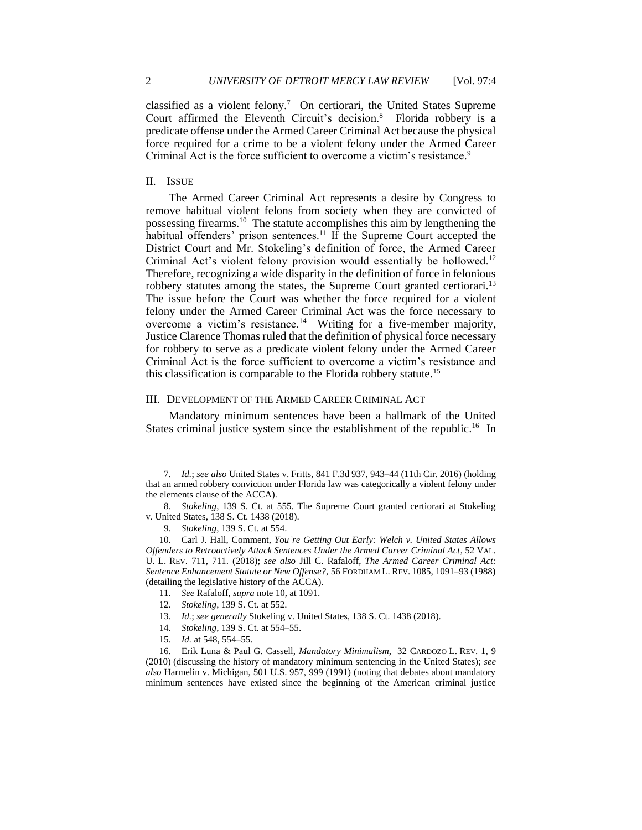classified as a violent felony.<sup>7</sup> On certiorari, the United States Supreme predicate offense under the Armed Career Criminal Act because the physical force required for a crime to be a violent felony under the Armed Career Court affirmed the Eleventh Circuit's decision.<sup>8</sup> Florida robbery is a Criminal Act is the force sufficient to overcome a victim's resistance.<sup>9</sup>

## II. ISSUE

 The Armed Career Criminal Act represents a desire by Congress to remove habitual violent felons from society when they are convicted of habitual offenders' prison sentences.<sup>11</sup> If the Supreme Court accepted the District Court and Mr. Stokeling's definition of force, the Armed Career Therefore, recognizing a wide disparity in the definition of force in felonious robbery statutes among the states, the Supreme Court granted certiorari.<sup>13</sup> The issue before the Court was whether the force required for a violent felony under the Armed Career Criminal Act was the force necessary to overcome a victim's resistance.<sup>14</sup> Writing for a five-member majority, Justice Clarence Thomas ruled that the definition of physical force necessary for robbery to serve as a predicate violent felony under the Armed Career Criminal Act is the force sufficient to overcome a victim's resistance and possessing [firearms.10](https://firearms.10) The statute accomplishes this aim by lengthening the Criminal Act's violent felony provision would essentially be hollowed.<sup>12</sup> this classification is comparable to the Florida robbery statute.<sup>15</sup>

#### III. DEVELOPMENT OF THE ARMED CAREER CRIMINAL ACT

 Mandatory minimum sentences have been a hallmark of the United States criminal justice system since the establishment of the republic.<sup>16</sup> In

- 11*. See* Rafaloff, *supra* note 10, at 1091.
- 12*. Stokeling*, 139 S. Ct. at 552.
- 13*. Id.*; *see generally* Stokeling v. United States, 138 S. Ct. 1438 (2018).
- 14*. Stokeling*, 139 S. Ct. at 554–55.
- 15*. Id.* at 548, 554–55.

<sup>7</sup>*. Id.*; *see also* United States v. Fritts, 841 F.3d 937, 943–44 (11th Cir. 2016) (holding that an armed robbery conviction under Florida law was categorically a violent felony under the elements clause of the ACCA).

<sup>8</sup>*. Stokeling*, 139 S. Ct. at 555. The Supreme Court granted certiorari at Stokeling v. United States, 138 S. Ct. 1438 (2018).

<sup>9</sup>*. Stokeling*, 139 S. Ct. at 554.

<sup>10.</sup> Carl J. Hall, Comment, *You're Getting Out Early: Welch v. United States Allows Offenders to Retroactively Attack Sentences Under the Armed Career Criminal Act*, 52 VAL. U. L. REV. 711, 711. (2018); *see also* Jill C. Rafaloff, *The Armed Career Criminal Act: Sentence Enhancement Statute or New Offense?*, 56 FORDHAM L. REV. 1085, 1091–93 (1988) (detailing the legislative history of the ACCA).

 16. Erik Luna & Paul G. Cassell, *Mandatory Minimalism*, 32 CARDOZO L. REV. 1, 9 *also* Harmelin v. Michigan, 501 U.S. 957, 999 (1991) (noting that debates about mandatory (2010) (discussing the history of mandatory minimum sentencing in the United States); *see*  minimum sentences have existed since the beginning of the American criminal justice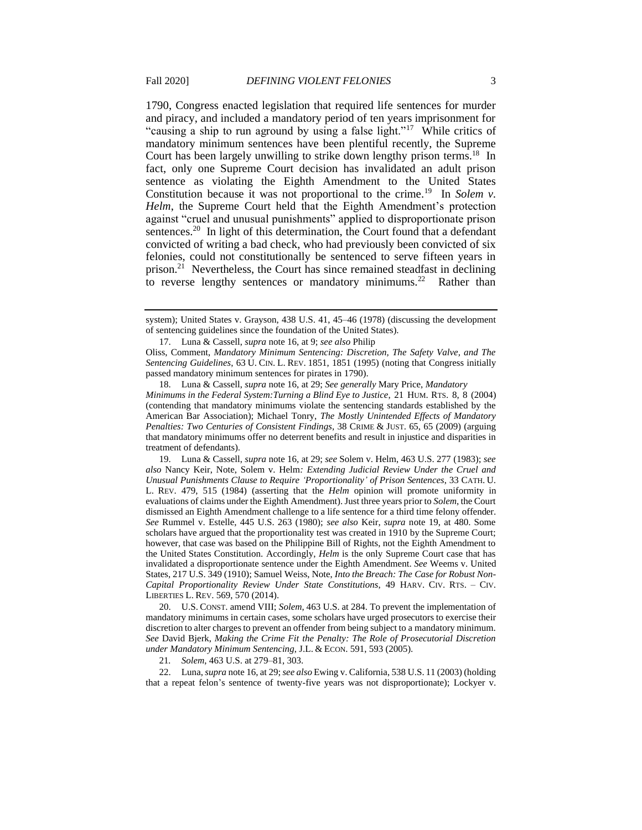1790, Congress enacted legislation that required life sentences for murder and piracy, and included a mandatory period of ten years imprisonment for "causing a ship to run aground by using a false light."<sup>17</sup> While critics of mandatory minimum sentences have been plentiful recently, the Supreme fact, only one Supreme Court decision has invalidated an adult prison sentence as violating the Eighth Amendment to the United States Constitution because it was not proportional to the crime.<sup>19</sup> In *Solem v*. *Helm*, the Supreme Court held that the Eighth Amendment's protection against "cruel and unusual punishments" applied to disproportionate prison sentences.<sup>20</sup> In light of this determination, the Court found that a defendant felonies, could not constitutionally be sentenced to serve fifteen years in prison.<sup>21</sup> Nevertheless, the Court has since remained steadfast in declining to reverse lengthy sentences or mandatory minimums.<sup>22</sup> Rather than Court has been largely unwilling to strike down lengthy prison terms.<sup>18</sup> In convicted of writing a bad check, who had previously been convicted of six

Oliss, Comment, *Mandatory Minimum Sentencing: Discretion, The Safety Valve, and The Sentencing Guidelines*, 63 U. CIN. L. REV. 1851, 1851 (1995) (noting that Congress initially passed mandatory minimum sentences for pirates in 1790).

 *Minimums in the Federal System:Turning a Blind Eye to Justice*, 21 HUM. RTS. 8, 8 (2004) 18. Luna & Cassell, *supra* note 16, at 29; *See generally* Mary Price, *Mandatory*  (contending that mandatory minimums violate the sentencing standards established by the American Bar Association); Michael Tonry, *The Mostly Unintended Effects of Mandatory Penalties: Two Centuries of Consistent Findings*, 38 CRIME & JUST. 65, 65 (2009) (arguing that mandatory minimums offer no deterrent benefits and result in injustice and disparities in treatment of defendants).

 L. REV. 479, 515 (1984) (asserting that the *Helm* opinion will promote uniformity in the United States Constitution. Accordingly, *Helm* is the only Supreme Court case that has 19. Luna & Cassell, *supra* note 16, at 29; *see* Solem v. Helm, 463 U.S. 277 (1983); *see also* Nancy Keir, Note, Solem v. Helm*: Extending Judicial Review Under the Cruel and Unusual Punishments Clause to Require 'Proportionality' of Prison Sentences*, 33 CATH. U. evaluations of claims under the Eighth Amendment). Just three years prior to *Solem*, the Court dismissed an Eighth Amendment challenge to a life sentence for a third time felony offender. *See* Rummel v. Estelle, 445 U.S. 263 (1980); *see also* Keir, *supra* note 19, at 480. Some scholars have argued that the proportionality test was created in 1910 by the Supreme Court; however, that case was based on the Philippine Bill of Rights, not the Eighth Amendment to invalidated a disproportionate sentence under the Eighth Amendment. *See* Weems v. United States, 217 U.S. 349 (1910); Samuel Weiss, Note, *Into the Breach: The Case for Robust Non-Capital Proportionality Review Under State Constitutions*, 49 HARV. CIV. RTS. – CIV. LIBERTIES L. REV. 569, 570 (2014).

 discretion to alter charges to prevent an offender from being subject to a mandatory minimum. 20. U.S. CONST. amend VIII; *Solem*, 463 U.S. at 284. To prevent the implementation of mandatory minimums in certain cases, some scholars have urged prosecutors to exercise their *See* David Bjerk, *Making the Crime Fit the Penalty: The Role of Prosecutorial Discretion under Mandatory Minimum Sentencing*, J.L. & ECON. 591, 593 (2005).

21*. Solem*, 463 U.S. at 279–81, 303.

22. Luna, *supra* note 16, at 29; *see also* Ewing v. California, 538 U.S. 11 (2003) (holding that a repeat felon's sentence of twenty-five years was not disproportionate); Lockyer v.

system); United States v. Grayson, 438 U.S. 41, 45–46 (1978) (discussing the development of sentencing guidelines since the foundation of the United States).

<sup>17.</sup> Luna & Cassell, *supra* note 16, at 9; *see also* Philip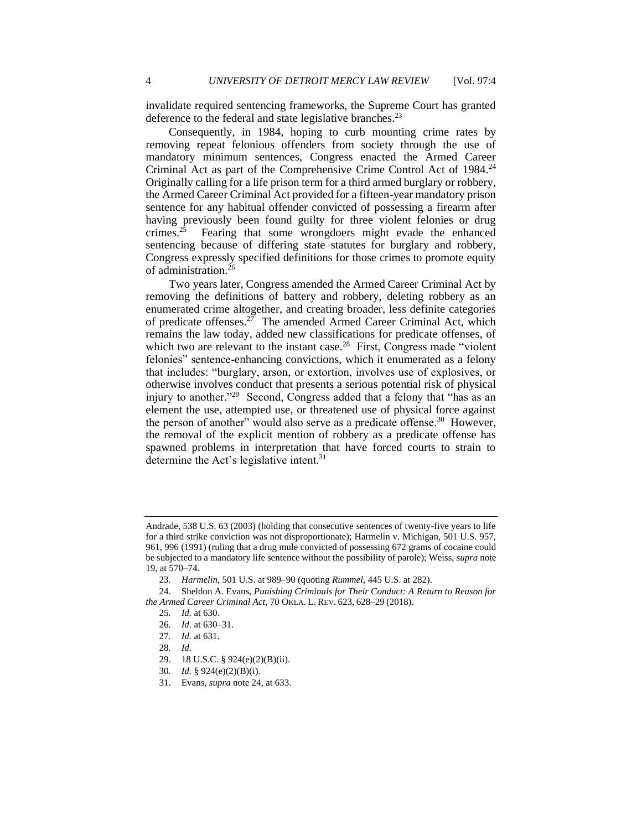invalidate required sentencing frameworks, the Supreme Court has granted deference to the federal and state legislative branches.<sup>23</sup>

 Consequently, in 1984, hoping to curb mounting crime rates by removing repeat felonious offenders from society through the use of Criminal Act as part of the Comprehensive Crime Control Act of 1984.<sup>24</sup> Originally calling for a life prison term for a third armed burglary or robbery, the Armed Career Criminal Act provided for a fifteen-year mandatory prison sentence for any habitual offender convicted of possessing a firearm after having previously been found guilty for three violent felonies or drug crimes.<sup>25</sup> Fearing that some wrongdoers might evade the enhanced sentencing because of differing state statutes for burglary and robbery, Congress expressly specified definitions for those crimes to promote equity mandatory minimum sentences, Congress enacted the Armed Career of administration.<sup>26</sup>

 enumerated crime altogether, and creating broader, less definite categories of predicate offenses.<sup>27</sup> The amended Armed Career Criminal Act, which remains the law today, added new classifications for predicate offenses, of which two are relevant to the instant case.<sup>28</sup> First, Congress made "violent felonies" sentence-enhancing convictions, which it enumerated as a felony that includes: "burglary, arson, or extortion, involves use of explosives, or otherwise involves conduct that presents a serious potential risk of physical injury to another."<sup>29</sup> Second, Congress added that a felony that "has as an element the use, attempted use, or threatened use of physical force against the person of another" would also serve as a predicate offense.<sup>30</sup> However, the removal of the explicit mention of robbery as a predicate offense has spawned problems in interpretation that have forced courts to strain to Two years later, Congress amended the Armed Career Criminal Act by removing the definitions of battery and robbery, deleting robbery as an determine the Act's legislative intent.<sup>31</sup>

30*. Id.* § 924(e)(2)(B)(i).

Andrade, 538 U.S. 63 (2003) (holding that consecutive sentences of twenty-five years to life for a third strike conviction was not disproportionate); Harmelin v. Michigan, 501 U.S. 957, 961, 996 (1991) (ruling that a drug mule convicted of possessing 672 grams of cocaine could be subjected to a mandatory life sentence without the possibility of parole); Weiss, *supra* note 19, at 570–74.

<sup>23</sup>*. Harmelin*, 501 U.S. at 989–90 (quoting *Rummel*, 445 U.S. at 282).

 *the Armed Career Criminal Act*, 70 OKLA. L. REV. 623, 628–29 (2018). 25*. Id.* at 630. 24. Sheldon A. Evans, *Punishing Criminals for Their Conduct: A Return to Reason for* 

<sup>26</sup>*. Id.* at 630–31.

<sup>27</sup>*. Id.* at 631.

<sup>28</sup>*. Id.* 

<sup>29. 18</sup> U.S.C. § 924(e)(2)(B)(ii).

<sup>31.</sup> Evans, *supra* note 24, at 633.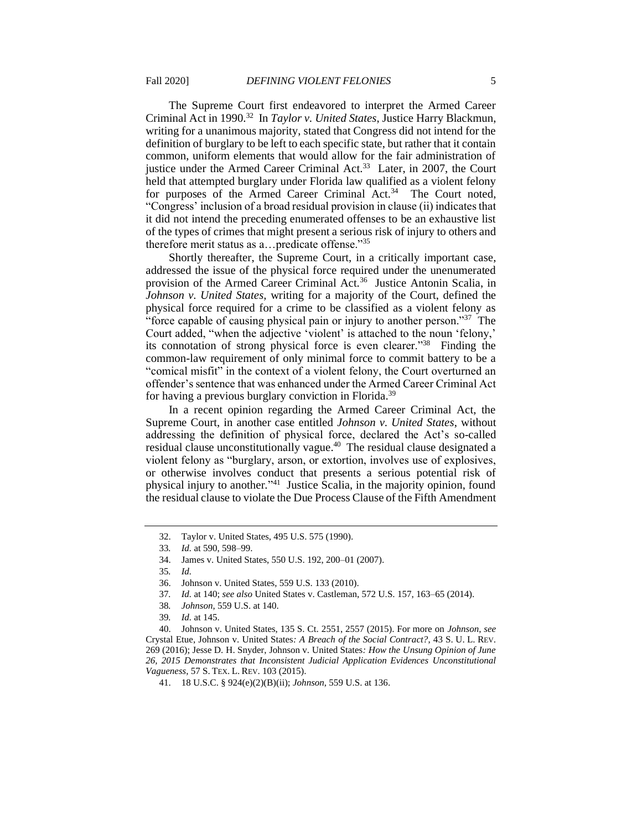The Supreme Court first endeavored to interpret the Armed Career Criminal Act in 1990.32 In *Taylor v. United States*, Justice Harry Blackmun, writing for a unanimous majority, stated that Congress did not intend for the definition of burglary to be left to each specific state, but rather that it contain common, uniform elements that would allow for the fair administration of justice under the Armed Career Criminal Act.<sup>33</sup> Later, in 2007, the Court held that attempted burglary under Florida law qualified as a violent felony for purposes of the Armed Career Criminal Act.<sup>34</sup> The Court noted, "Congress' inclusion of a broad residual provision in clause (ii) indicates that it did not intend the preceding enumerated offenses to be an exhaustive list of the types of crimes that might present a serious risk of injury to others and therefore merit status as a…predicate offense."35

 Shortly thereafter, the Supreme Court, in a critically important case, addressed the issue of the physical force required under the unenumerated provision of the Armed Career Criminal Act.<sup>36</sup> Justice Antonin Scalia, in *Johnson v. United States,* writing for a majority of the Court, defined the physical force required for a crime to be classified as a violent felony as "force capable of causing physical pain or injury to another person."<sup>37</sup> The Court added, "when the adjective 'violent' is attached to the noun 'felony,' its connotation of strong physical force is even clearer."38 Finding the common-law requirement of only minimal force to commit battery to be a "comical misfit" in the context of a violent felony, the Court overturned an offender's sentence that was enhanced under the Armed Career Criminal Act for having a previous burglary conviction in Florida.<sup>39</sup>

 In a recent opinion regarding the Armed Career Criminal Act, the Supreme Court, in another case entitled *Johnson v. United States*, without addressing the definition of physical force, declared the Act's so-called violent felony as "burglary, arson, or extortion, involves use of explosives, or otherwise involves conduct that presents a serious potential risk of the residual clause to violate the Due Process Clause of the Fifth Amendment residual clause unconstitutionally vague.<sup>40</sup> The residual clause designated a physical injury to another*.*"41 Justice Scalia, in the majority opinion, found

38*. Johnson*, 559 U.S. at 140.

<sup>32.</sup> Taylor v. United States, 495 U.S. 575 (1990).

<sup>33</sup>*. Id.* at 590, 598–99.

<sup>34.</sup> James v. United States, 550 U.S. 192, 200–01 (2007).

<sup>35</sup>*. Id.* 

<sup>36.</sup> Johnson v. United States, 559 U.S. 133 (2010).

<sup>37</sup>*. Id.* at 140; *see also* United States v. Castleman, 572 U.S. 157, 163–65 (2014).

<sup>39</sup>*. Id.* at 145.

<sup>40.</sup> Johnson v. United States, 135 S. Ct. 2551, 2557 (2015). For more on *Johnson*, *see*  Crystal Etue, Johnson v. United States*: A Breach of the Social Contract?*, 43 S. U. L. REV. 269 (2016); Jesse D. H. Snyder, Johnson v. United States*: How the Unsung Opinion of June 26, 2015 Demonstrates that Inconsistent Judicial Application Evidences Unconstitutional Vagueness*, 57 S. TEX. L. REV. 103 (2015).

<sup>41. 18</sup> U.S.C. § 924(e)(2)(B)(ii); *Johnson*, 559 U.S. at 136.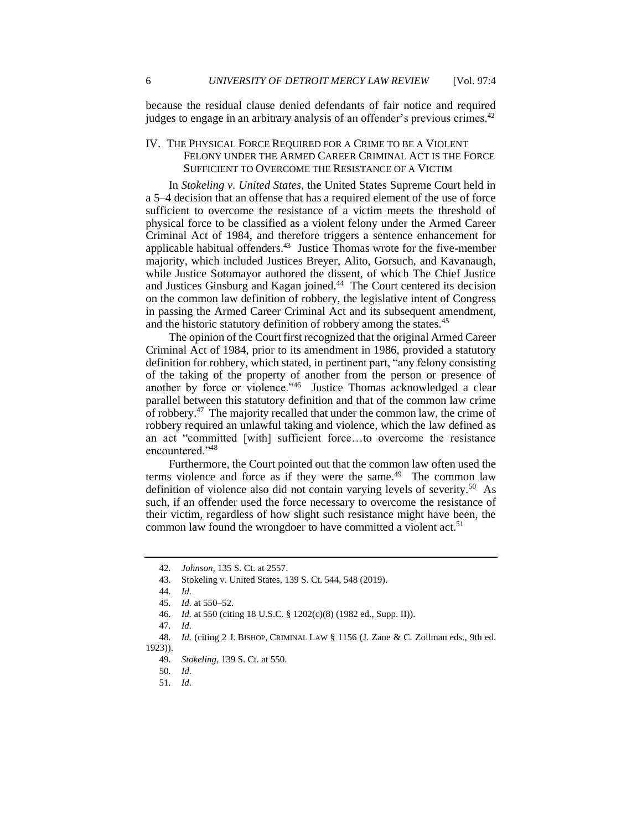because the residual clause denied defendants of fair notice and required judges to engage in an arbitrary analysis of an offender's previous crimes.<sup>42</sup>

## IV. THE PHYSICAL FORCE REQUIRED FOR A CRIME TO BE A VIOLENT FELONY UNDER THE ARMED CAREER CRIMINAL ACT IS THE FORCE SUFFICIENT TO OVERCOME THE RESISTANCE OF A VICTIM

 In *Stokeling v. United States*, the United States Supreme Court held in a 5–4 decision that an offense that has a required element of the use of force sufficient to overcome the resistance of a victim meets the threshold of physical force to be classified as a violent felony under the Armed Career Criminal Act of 1984, and therefore triggers a sentence enhancement for applicable habitual offenders.<sup>43</sup> Justice Thomas wrote for the five-member while Justice Sotomayor authored the dissent, of which The Chief Justice and Justices Ginsburg and Kagan joined.<sup>44</sup> The Court centered its decision on the common law definition of robbery, the legislative intent of Congress in passing the Armed Career Criminal Act and its subsequent amendment, majority, which included Justices Breyer, Alito, Gorsuch, and Kavanaugh, and the historic statutory definition of robbery among the states.<sup>45</sup>

 The opinion of the Court first recognized that the original Armed Career Criminal Act of 1984, prior to its amendment in 1986, provided a statutory of the taking of the property of another from the person or presence of another by force or violence."<sup>46</sup> Justice Thomas acknowledged a clear parallel between this statutory definition and that of the common law crime of robbery.<sup>47</sup> The majority recalled that under the common law, the crime of robbery required an unlawful taking and violence, which the law defined as an act "committed [with] sufficient force…to overcome the resistance definition for robbery, which stated, in pertinent part, "any felony consisting encountered."48

 Furthermore, the Court pointed out that the common law often used the terms violence and force as if they were the same.<sup>49</sup> The common law definition of violence also did not contain varying levels of severity.<sup>50</sup> As such, if an offender used the force necessary to overcome the resistance of their victim, regardless of how slight such resistance might have been, the common law found the wrongdoer to have committed a violent  $act<sup>51</sup>$ 

<sup>42</sup>*. Johnson*, 135 S. Ct. at 2557.

<sup>43.</sup> Stokeling v. United States, 139 S. Ct. 544, 548 (2019).

<sup>44</sup>*. Id.* 

<sup>45</sup>*. Id.* at 550–52.

<sup>46</sup>*. Id.* at 550 (citing 18 U.S.C. § 1202(c)(8) (1982 ed., Supp. II)).

<sup>47</sup>*. Id.* 

 48*. Id.* (citing 2 J. BISHOP, CRIMINAL LAW § 1156 (J. Zane & C. Zollman eds., 9th ed. 1923)).

<sup>49.</sup> *Stokeling*, 139 S. Ct. at 550.

<sup>50</sup>*. Id.* 

<sup>51</sup>*. Id.*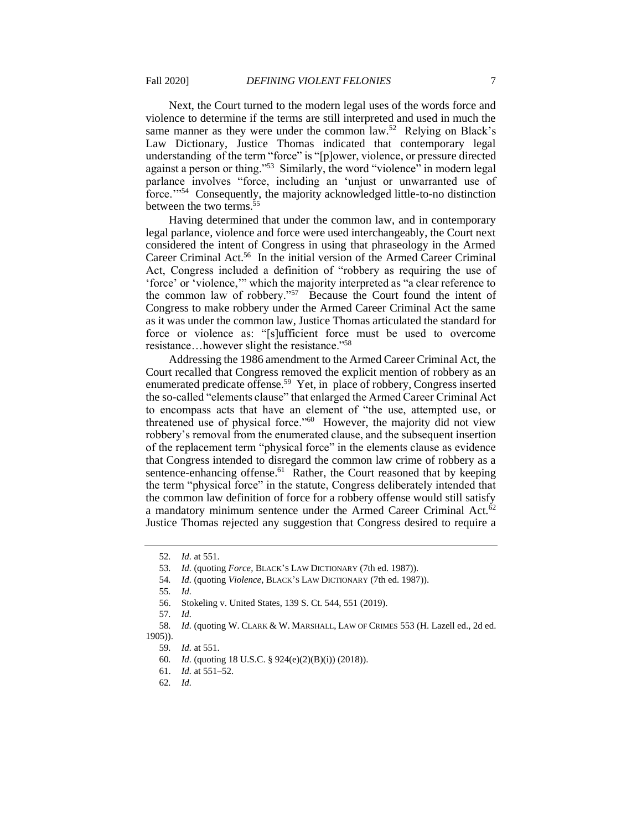Next, the Court turned to the modern legal uses of the words force and violence to determine if the terms are still interpreted and used in much the same manner as they were under the common law.<sup>52</sup> Relying on Black's understanding of the term "force" is "[p]ower, violence, or pressure directed parlance involves "force, including an 'unjust or unwarranted use of Law Dictionary, Justice Thomas indicated that contemporary legal against a person or thing."<sup>53</sup> Similarly, the word "violence" in modern legal force.'"54 Consequently, the majority acknowledged little-to-no distinction between the two terms.<sup>55</sup>

 Having determined that under the common law, and in contemporary legal parlance, violence and force were used interchangeably, the Court next considered the intent of Congress in using that phraseology in the Armed Career Criminal Act.<sup>56</sup> In the initial version of the Armed Career Criminal Act, Congress included a definition of "robbery as requiring the use of 'force' or 'violence,'" which the majority interpreted as "a clear reference to the common law of robbery."57 Because the Court found the intent of Congress to make robbery under the Armed Career Criminal Act the same as it was under the common law, Justice Thomas articulated the standard for force or violence as: "[s]ufficient force must be used to overcome resistance…however slight the resistance."58

 Addressing the 1986 amendment to the Armed Career Criminal Act, the Court recalled that Congress removed the explicit mention of robbery as an enumerated predicate offense.<sup>59</sup> Yet, in place of robbery, Congress inserted the so-called "elements clause" that enlarged the Armed Career Criminal Act to encompass acts that have an element of "the use, attempted use, or threatened use of physical force."60 However, the majority did not view robbery's removal from the enumerated clause, and the subsequent insertion of the replacement term "physical force" in the elements clause as evidence that Congress intended to disregard the common law crime of robbery as a sentence-enhancing offense.<sup>61</sup> Rather, the Court reasoned that by keeping the term "physical force" in the statute, Congress deliberately intended that a mandatory minimum sentence under the Armed Career Criminal Act. $62$  Justice Thomas rejected any suggestion that Congress desired to require a the common law definition of force for a robbery offense would still satisfy

57*. Id.* 

61. *Id.* at 551–52.

<sup>52</sup>*. Id.* at 551.

<sup>53</sup>*. Id.* (quoting *Force*, BLACK'S LAW DICTIONARY (7th ed. 1987)).

<sup>54</sup>*. Id.* (quoting *Violence*, BLACK'S LAW DICTIONARY (7th ed. 1987)).

<sup>55</sup>*. Id.* 

<sup>56.</sup> Stokeling v. United States, 139 S. Ct. 544, 551 (2019).

<sup>58</sup>*. Id.* (quoting W. CLARK & W. MARSHALL, LAW OF CRIMES 553 (H. Lazell ed., 2d ed. 1905)).

<sup>59</sup>*. Id.* at 551.

<sup>60</sup>*. Id.* (quoting 18 U.S.C. § 924(e)(2)(B)(i)) (2018)).

<sup>62</sup>*. Id.*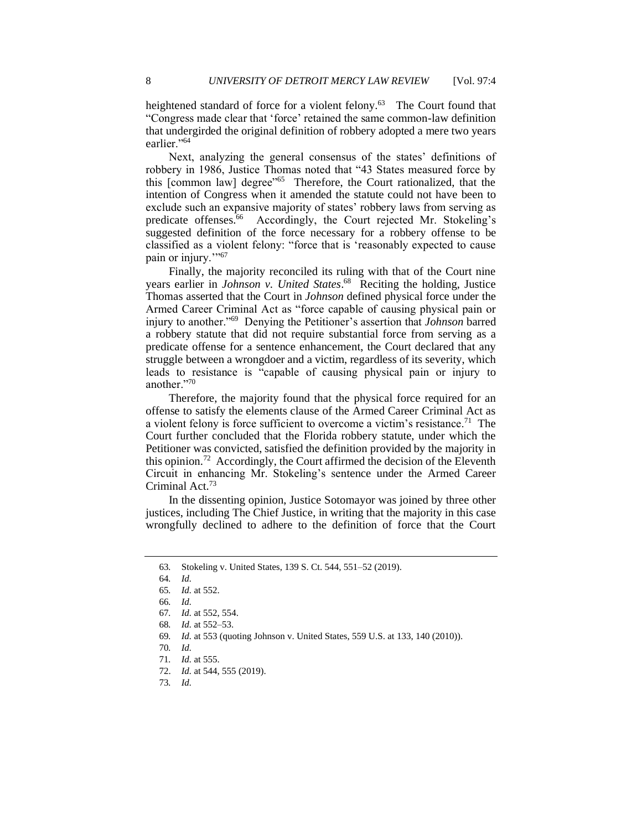heightened standard of force for a violent felony.<sup>63</sup> The Court found that "Congress made clear that 'force' retained the same common-law definition that undergirded the original definition of robbery adopted a mere two years earlier."<sup>64</sup>

 Next, analyzing the general consensus of the states' definitions of this [common law] degree"<sup>65</sup> Therefore, the Court rationalized, that the intention of Congress when it amended the statute could not have been to exclude such an expansive majority of states' robbery laws from serving as predicate offenses.<sup>66</sup> Accordingly, the Court rejected Mr. Stokeling's suggested definition of the force necessary for a robbery offense to be classified as a violent felony: "force that is 'reasonably expected to cause robbery in 1986, Justice Thomas noted that "43 States measured force by pain or injury."<sup>57</sup>

 Finally, the majority reconciled its ruling with that of the Court nine Thomas asserted that the Court in *Johnson* defined physical force under the Armed Career Criminal Act as "force capable of causing physical pain or a robbery statute that did not require substantial force from serving as a predicate offense for a sentence enhancement, the Court declared that any struggle between a wrongdoer and a victim, regardless of its severity, which leads to resistance is "capable of causing physical pain or injury to years earlier in *Johnson v. United [States](https://States.68)*. 68 Reciting the holding, Justice injury to another."69 Denying the Petitioner's assertion that *Johnson* barred another."70

 Therefore, the majority found that the physical force required for an offense to satisfy the elements clause of the Armed Career Criminal Act as a violent felony is force sufficient to overcome a victim's resistance.<sup>71</sup> The Court further concluded that the Florida robbery statute, under which the this opinion.<sup>72</sup> Accordingly, the Court affirmed the decision of the Eleventh Circuit in enhancing Mr. Stokeling's sentence under the Armed Career Petitioner was convicted, satisfied the definition provided by the majority in Criminal Act.<sup>73</sup>

 In the dissenting opinion, Justice Sotomayor was joined by three other wrongfully declined to adhere to the definition of force that the Court justices, including The Chief Justice, in writing that the majority in this case

<sup>63</sup>*.* Stokeling v. United States, 139 S. Ct. 544, 551–52 (2019).

<sup>64</sup>*. Id.* 

<sup>65</sup>*. Id.* at 552.

<sup>66</sup>*. Id.* 

<sup>67</sup>*. Id.* at 552, 554.

<sup>68</sup>*. Id.* at 552–53.

<sup>69</sup>*. Id.* at 553 (quoting Johnson v. United States, 559 U.S. at 133, 140 (2010)).

<sup>70</sup>*. Id.* 

<sup>71</sup>*. Id.* at 555.

<sup>72.</sup> *Id.* at 544, 555 (2019).

<sup>73</sup>*. Id.*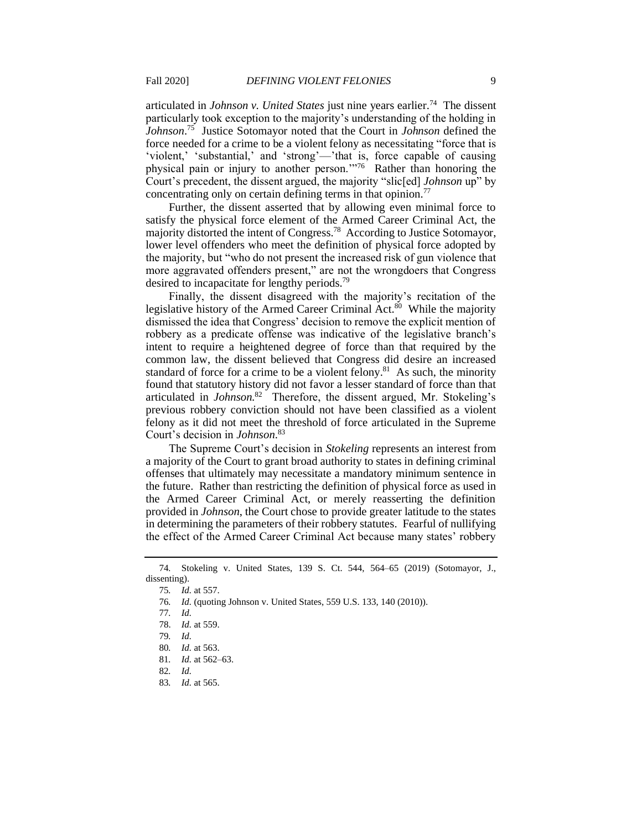articulated in *Johnson v. United States* just nine years earlier.<sup>74</sup> The dissent *[Johnson](https://Johnson.75)*. 75 Justice Sotomayor noted that the Court in *Johnson* defined the force needed for a crime to be a violent felony as necessitating "force that is 'violent,' 'substantial,' and 'strong'—'that is, force capable of causing physical pain or injury to another person.'"76 Rather than honoring the particularly took exception to the majority's understanding of the holding in Court's precedent, the dissent argued, the majority "slic[ed] *Johnson* up" by concentrating only on certain defining terms in that opinion.<sup>77</sup>

 Further, the dissent asserted that by allowing even minimal force to satisfy the physical force element of the Armed Career Criminal Act, the majority distorted the intent of Congress.<sup>78</sup> According to Justice Sotomayor, lower level offenders who meet the definition of physical force adopted by more aggravated offenders present," are not the wrongdoers that Congress the majority, but "who do not present the increased risk of gun violence that desired to incapacitate for lengthy [periods.79](https://periods.79) 

 Finally, the dissent disagreed with the majority's recitation of the legislative history of the Armed Career Criminal Act.<sup>80</sup> While the majority dismissed the idea that Congress' decision to remove the explicit mention of robbery as a predicate offense was indicative of the legislative branch's intent to require a heightened degree of force than that required by the common law, the dissent believed that Congress did desire an increased standard of force for a crime to be a violent felony. $81$  As such, the minority articulated in *[Johnson.](https://Johnson.82)*82 Therefore, the dissent argued, Mr. Stokeling's previous robbery conviction should not have been classified as a violent felony as it did not meet the threshold of force articulated in the Supreme found that statutory history did not favor a lesser standard of force than that Court's decision in *[Johnson](https://Johnson.83)*. 83

 The Supreme Court's decision in *Stokeling* represents an interest from a majority of the Court to grant broad authority to states in defining criminal offenses that ultimately may necessitate a mandatory minimum sentence in the Armed Career Criminal Act, or merely reasserting the definition provided in *Johnson*, the Court chose to provide greater latitude to the states in determining the parameters of their robbery statutes. Fearful of nullifying the effect of the Armed Career Criminal Act because many states' robbery the future. Rather than restricting the definition of physical force as used in

 74*.* Stokeling v. United States, 139 S. Ct. 544, 564–65 (2019) (Sotomayor, J., dissenting).

<sup>75</sup>*. Id.* at 557.

<sup>76</sup>*. Id.* (quoting Johnson v. United States, 559 U.S. 133, 140 (2010)).

<sup>77</sup>*. Id.* 

<sup>78.</sup> *Id.* at 559.

<sup>79</sup>*. Id.* 

<sup>80</sup>*. Id.* at 563.

<sup>81</sup>*. Id.* at 562–63.

<sup>82</sup>*. Id.* 

<sup>83</sup>*. Id.* at 565.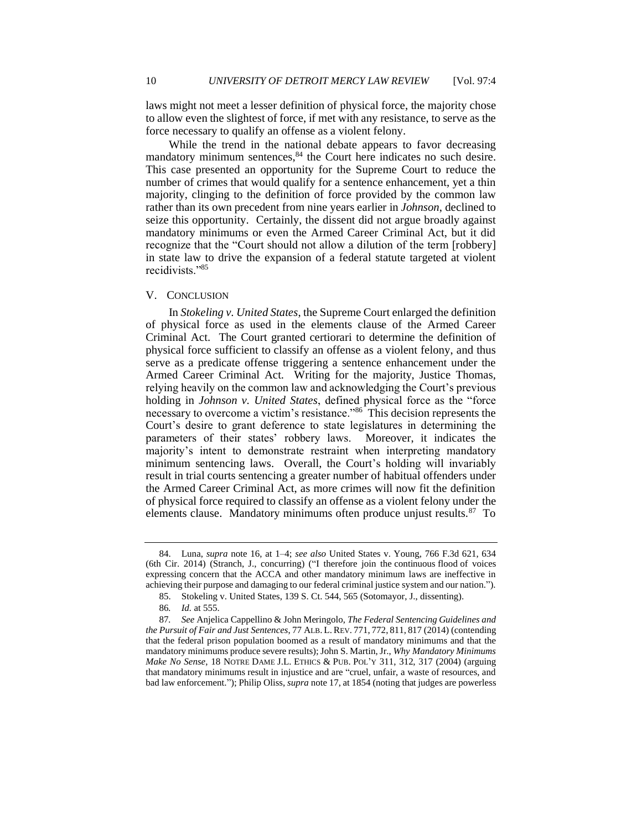to allow even the slightest of force, if met with any resistance, to serve as the laws might not meet a lesser definition of physical force, the majority chose force necessary to qualify an offense as a violent felony.

 While the trend in the national debate appears to favor decreasing mandatory minimum sentences, 84 the Court here indicates no such desire. This case presented an opportunity for the Supreme Court to reduce the number of crimes that would qualify for a sentence enhancement, yet a thin majority, clinging to the definition of force provided by the common law seize this opportunity. Certainly, the dissent did not argue broadly against mandatory minimums or even the Armed Career Criminal Act, but it did recognize that the "Court should not allow a dilution of the term [robbery] in state law to drive the expansion of a federal statute targeted at violent recidivists."85 rather than its own precedent from nine years earlier in *Johnson*, declined to

#### V. CONCLUSION

 In *Stokeling v. United States*, the Supreme Court enlarged the definition of physical force as used in the elements clause of the Armed Career Criminal Act. The Court granted certiorari to determine the definition of physical force sufficient to classify an offense as a violent felony, and thus serve as a predicate offense triggering a sentence enhancement under the Armed Career Criminal Act. Writing for the majority, Justice Thomas, holding in *Johnson v. United States*, defined physical force as the "force necessary to overcome a victim's resistance."<sup>86</sup> This decision represents the Court's desire to grant deference to state legislatures in determining the parameters of their states' robbery laws. Moreover, it indicates the majority's intent to demonstrate restraint when interpreting mandatory the Armed Career Criminal Act, as more crimes will now fit the definition of physical force required to classify an offense as a violent felony under the elements clause. Mandatory minimums often produce unjust results.<sup>87</sup> To relying heavily on the common law and acknowledging the Court's previous minimum sentencing laws. Overall, the Court's holding will invariably result in trial courts sentencing a greater number of habitual offenders under

 expressing concern that the ACCA and other mandatory minimum laws are ineffective in achieving their purpose and damaging to our federal criminal justice system and our nation."). 84. Luna, *supra* note 16, at 1–4; *see also* United States v. Young, 766 F.3d 621, 634 (6th Cir. 2014) (Stranch, J., concurring) ("I therefore join the continuous flood of voices

<sup>85.</sup> Stokeling v. United States, 139 S. Ct. 544, 565 (Sotomayor, J., dissenting).

<sup>86</sup>*. Id.* at 555.

 that the federal prison population boomed as a result of mandatory minimums and that the 87*. See* Anjelica Cappellino & John Meringolo, *The Federal Sentencing Guidelines and the Pursuit of Fair and Just Sentences*, 77 ALB. L. REV. 771, 772, 811, 817 (2014) (contending mandatory minimums produce severe results); John S. Martin, Jr., *Why Mandatory Minimums Make No Sense*, 18 NOTRE DAME J.L. ETHICS & PUB. POL'Y 311, 312, 317 (2004) (arguing that mandatory minimums result in injustice and are "cruel, unfair, a waste of resources, and bad law enforcement."); Philip Oliss, *supra* note 17, at 1854 (noting that judges are powerless